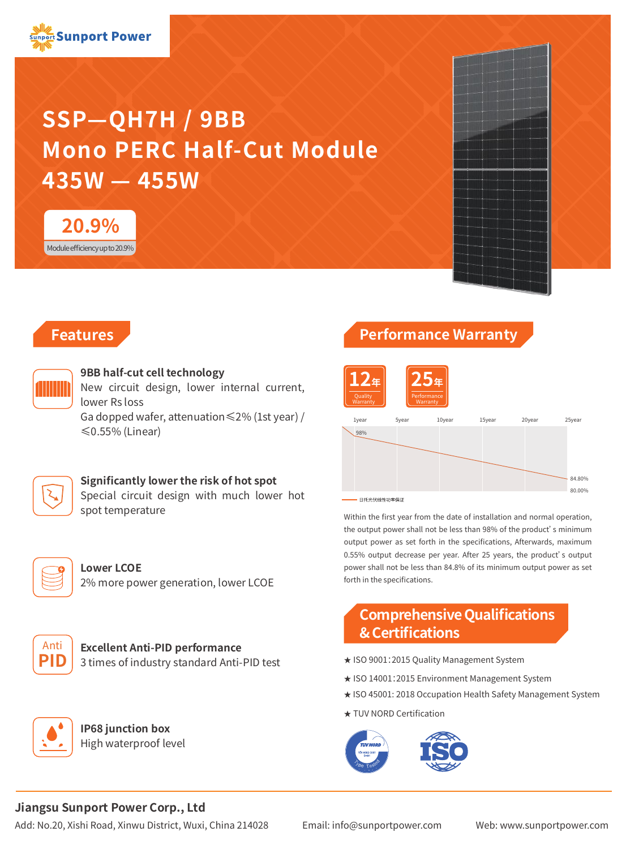# **SSP—QH7H / 9BB Mono PERC Half-Cut Module 435W — 455W**





# **Features**



#### **9BB half-cut cell technology**

New circuit design, lower internal current, lower Rs loss

Ga dopped wafer, attenuation≤2% (1st year) / ≤0.55% (Linear)

## **Significantly lower the risk of hot spot**

Special circuit design with much lower hot spot temperature



**Lower LCOE** 2% more power generation, lower LCOE



**Excellent Anti-PID performance** 3 times of industry standard Anti-PID test



**IP68 junction box** High waterproof level

# **Performance Warranty**



Within the first year from the date of installation and normal operation, the output power shall not be less than 98% of the product's minimum output power as set forth in the specifications, Afterwards, maximum 0.55% output decrease per year. After 25 years, the product's output power shall not be less than 84.8% of its minimum output power as set forth in the specifications.

# **Comprehensive Qualifications & Certifications**

- ★ ISO 9001:2015 Quality Management System
- ★ ISO 14001:2015 Environment Management System
- ★ ISO 45001: 2018 Occupation Health Safety Management System
- ★ TUV NORD Certification



# **Jiangsu Sunport Power Corp., Ltd**

Add: No.20, Xishi Road, Xinwu District, Wuxi, China 214028 Email: info@sunportpower.com Web: www.sunportpower.com